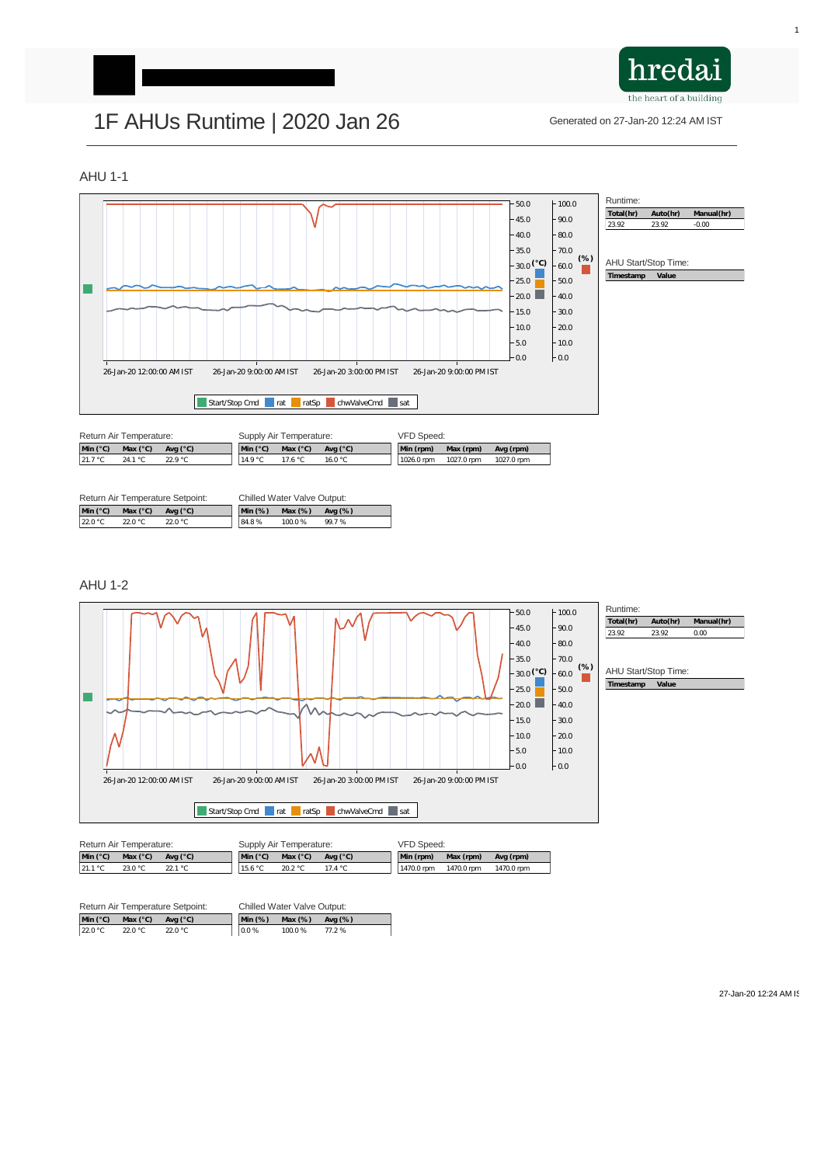

# 1F AHUs Runtime | 2020 Jan 26 Generated on 27-Jan-20 12:24 AM IST

### AHU 1-1

 $\overline{\phantom{a}}$ 



| Return Air Temperature Setpoint: |                   |                   | <b>Chilled Water Valve Output:</b> |         |            |  |  |
|----------------------------------|-------------------|-------------------|------------------------------------|---------|------------|--|--|
| Min $(^{\circ}C)$                | Max $(^{\circ}C)$ | Avg $(^{\circ}C)$ | $Min(%)$ Max $(\%)$                |         | Avg $(\%)$ |  |  |
| 22.0 °C                          | 22.0 °C           | 22.0 °C           | 84.8%                              | 100.0 % | 99.7 %     |  |  |

| <b>Return Air Temperature:</b> |                   | Supply Air Temperature: |                   |                   | <b>VFD Speed:</b> |            |            |            |
|--------------------------------|-------------------|-------------------------|-------------------|-------------------|-------------------|------------|------------|------------|
| Min $(^{\circ}C)$              | Max $(^{\circ}C)$ | Avg $(^{\circ}C)$       | Min $(^{\circ}C)$ | Max $(^{\circ}C)$ | Avg $(^{\circ}C)$ | Min (rpm)  | Max (rpm)  | Avg (rpm)  |
| $\vert$ 21.7 °C                | 24.1 $^{\circ}$ C | 22.9 °C                 | ∣14.9 °C          | 17.6 $\degree$ C  | 16.0 $^{\circ}$ C | 1026.0 rpm | 1027.0 rpm | 1027.0 rpm |

#### AHU 1-2

 $+100.0$ 

 $-50.0$ 



| Return Air Temperature Setpoint: |                   |                                     | <b>Chilled Water Valve Output:</b> |  |                       |         |            |
|----------------------------------|-------------------|-------------------------------------|------------------------------------|--|-----------------------|---------|------------|
|                                  | Min $(^{\circ}C)$ | Max $(^{\circ}C)$ Avg $(^{\circ}C)$ |                                    |  | $Min (\%)$ Max $(\%)$ |         | Avg $(\%)$ |
|                                  | 22.0 °C           | 22.0 °C                             | 22.0 °C                            |  | $\vert$ 0.0 %         | 100.0 % | 77.2 %     |

27-Jan-20 12:24 AM IS

| Return Air Temperature: |                   | Supply Air Temperature: |                   |                   | <b>VFD Speed:</b> |              |            |            |
|-------------------------|-------------------|-------------------------|-------------------|-------------------|-------------------|--------------|------------|------------|
| Min $(^{\circ}C)$       | Max $(^{\circ}C)$ | Avg $(^{\circ}C)$       | Min $(^{\circ}C)$ | Max $(^{\circ}C)$ | Avg $(^{\circ}C)$ | Min (rpm)    | Max (rpm)  | Avg (rpm)  |
| 121.1 °C                | 23.0 °C           | 22.1 °C                 | 15.6 $\degree$ C  | 20.2 $\degree$ C  | 17.4 $^{\circ}$ C | $1470.0$ rpm | 1470.0 rpm | 1470.0 rpm |

Runtime: